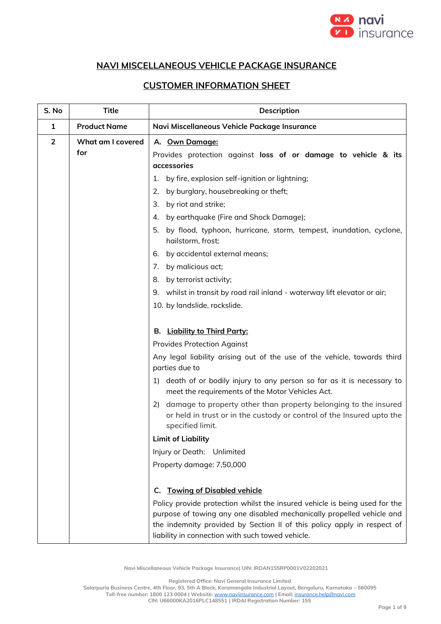

## **NAVI MISCELLANEOUS VEHICLE PACKAGE INSURANCE**

## **CUSTOMER INFORMATION SHEET**

| S. No          | <b>Title</b>             | Description                                                                                                                                                                                                                                                                        |  |
|----------------|--------------------------|------------------------------------------------------------------------------------------------------------------------------------------------------------------------------------------------------------------------------------------------------------------------------------|--|
| $\mathbf{1}$   | <b>Product Name</b>      | Navi Miscellaneous Vehicle Package Insurance                                                                                                                                                                                                                                       |  |
| $\overline{2}$ | What am I covered<br>for | A. Own Damage:<br>Provides protection against loss of or damage to vehicle & its<br>accessories                                                                                                                                                                                    |  |
|                |                          | by fire, explosion self-ignition or lightning;<br>1.                                                                                                                                                                                                                               |  |
|                |                          | by burglary, housebreaking or theft;<br>2.                                                                                                                                                                                                                                         |  |
|                |                          | by riot and strike;<br>3.                                                                                                                                                                                                                                                          |  |
|                |                          | by earthquake (Fire and Shock Damage);<br>4.                                                                                                                                                                                                                                       |  |
|                |                          | by flood, typhoon, hurricane, storm, tempest, inundation, cyclone,<br>5.<br>hailstorm, frost;                                                                                                                                                                                      |  |
|                |                          | by accidental external means;<br>6.                                                                                                                                                                                                                                                |  |
|                |                          | by malicious act;<br>7.                                                                                                                                                                                                                                                            |  |
|                |                          | by terrorist activity;<br>8.                                                                                                                                                                                                                                                       |  |
|                |                          | 9. whilst in transit by road rail inland - waterway lift elevator or air;                                                                                                                                                                                                          |  |
|                |                          | 10. by landslide, rockslide.                                                                                                                                                                                                                                                       |  |
|                |                          | <b>B.</b> Liability to Third Party:<br><b>Provides Protection Against</b><br>Any legal liability arising out of the use of the vehicle, towards third                                                                                                                              |  |
|                |                          | parties due to                                                                                                                                                                                                                                                                     |  |
|                |                          | death of or bodily injury to any person so far as it is necessary to<br>1)<br>meet the requirements of the Motor Vehicles Act.                                                                                                                                                     |  |
|                |                          | damage to property other than property belonging to the insured<br>2)<br>or held in trust or in the custody or control of the Insured upto the<br>specified limit.                                                                                                                 |  |
|                |                          | <b>Limit of Liability</b>                                                                                                                                                                                                                                                          |  |
|                |                          | Injury or Death: Unlimited                                                                                                                                                                                                                                                         |  |
|                |                          | Property damage: 7,50,000                                                                                                                                                                                                                                                          |  |
|                |                          | <b>Towing of Disabled vehicle</b><br>C.                                                                                                                                                                                                                                            |  |
|                |                          | Policy provide protection whilst the insured vehicle is being used for the<br>purpose of towing any one disabled mechanically propelled vehicle and<br>the indemnity provided by Section II of this policy apply in respect of<br>liability in connection with such towed vehicle. |  |

**Navi Miscellaneous Vehicle Package Insurance| UIN: IRDAN155RP0001V02202021**

**Registered Office: Navi General Insurance Limited**

**Salarpuria Business Centre, 4th Floor, 93, 5th A Block, Koramangala Industrial Layout, Bengaluru, Karnataka – 560095**

**Toll-free number: 1800 123 0004 | Website:** [www.naviinsurance.com](http://www.naviinsurance.com/) **| Email:** [insurance.help@navi.com](mailto:insurance.help@navi.com)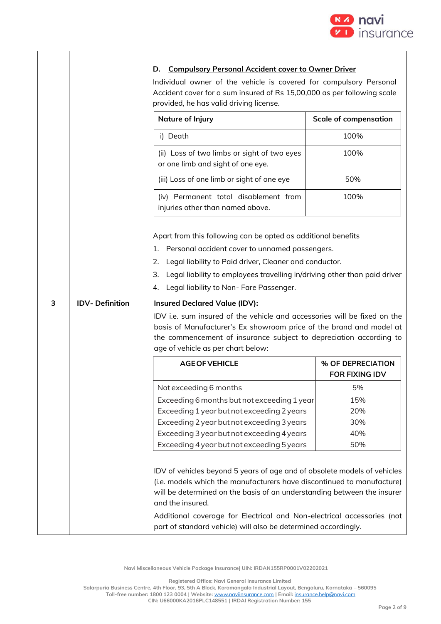

|   |                       | <b>Compulsory Personal Accident cover to Owner Driver</b><br>D.<br>Individual owner of the vehicle is covered for compulsory Personal<br>Accident cover for a sum insured of Rs 15,00,000 as per following scale<br>provided, he has valid driving license. |                                            |
|---|-----------------------|-------------------------------------------------------------------------------------------------------------------------------------------------------------------------------------------------------------------------------------------------------------|--------------------------------------------|
|   |                       | Nature of Injury                                                                                                                                                                                                                                            | <b>Scale of compensation</b>               |
|   |                       | i) Death                                                                                                                                                                                                                                                    | 100%                                       |
|   |                       | (ii) Loss of two limbs or sight of two eyes<br>or one limb and sight of one eye.                                                                                                                                                                            | 100%                                       |
|   |                       | (iii) Loss of one limb or sight of one eye                                                                                                                                                                                                                  | 50%                                        |
|   |                       | (iv) Permanent total disablement from<br>injuries other than named above.                                                                                                                                                                                   | 100%                                       |
|   |                       | Apart from this following can be opted as additional benefits<br>Personal accident cover to unnamed passengers.<br>1.<br>Legal liability to Paid driver, Cleaner and conductor.<br>2.                                                                       |                                            |
|   |                       | Legal liability to employees travelling in/driving other than paid driver<br>3.                                                                                                                                                                             |                                            |
| 3 | <b>IDV-Definition</b> | Legal liability to Non-Fare Passenger.<br>4.<br><b>Insured Declared Value (IDV):</b>                                                                                                                                                                        |                                            |
|   |                       | IDV i.e. sum insured of the vehicle and accessories will be fixed on the<br>basis of Manufacturer's Ex showroom price of the brand and model at<br>the commencement of insurance subject to depreciation according to<br>age of vehicle as per chart below: |                                            |
|   |                       | <b>AGE OF VEHICLE</b>                                                                                                                                                                                                                                       | % OF DEPRECIATION<br><b>FOR FIXING IDV</b> |
|   |                       | Not exceeding 6 months                                                                                                                                                                                                                                      | 5%                                         |
|   |                       | Exceeding 6 months but not exceeding 1 year                                                                                                                                                                                                                 | 15%                                        |
|   |                       | Exceeding 1 year but not exceeding 2 years                                                                                                                                                                                                                  | 20%                                        |
|   |                       | Exceeding 2 year but not exceeding 3 years                                                                                                                                                                                                                  | 30%                                        |
|   |                       | Exceeding 3 year but not exceeding 4 years<br>Exceeding 4 year but not exceeding 5 years                                                                                                                                                                    | 40%<br>50%                                 |
|   |                       |                                                                                                                                                                                                                                                             |                                            |
|   |                       | IDV of vehicles beyond 5 years of age and of obsolete models of vehicles<br>(i.e. models which the manufacturers have discontinued to manufacture)<br>will be determined on the basis of an understanding between the insurer<br>and the insured.           |                                            |
|   |                       | Additional coverage for Electrical and Non-electrical accessories (not<br>part of standard vehicle) will also be determined accordingly.                                                                                                                    |                                            |

**Registered Office: Navi General Insurance Limited**

**Salarpuria Business Centre, 4th Floor, 93, 5th A Block, Koramangala Industrial Layout, Bengaluru, Karnataka – 560095**

**Toll-free number: 1800 123 0004 | Website:** [www.naviinsurance.com](http://www.naviinsurance.com/) **| Email:** [insurance.help@navi.com](mailto:insurance.help@navi.com)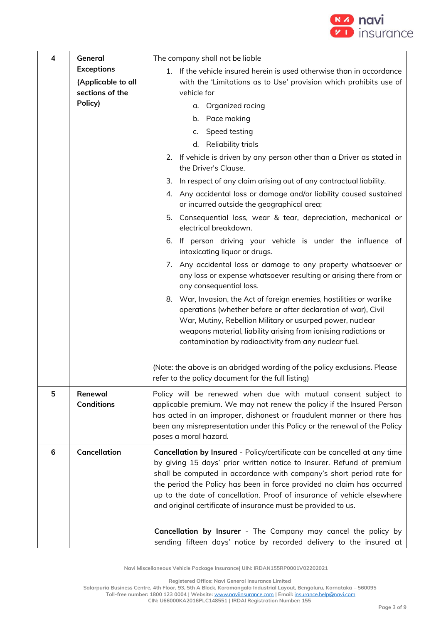

| 4 | General                                 | The company shall not be liable                                                                                                                                                                                                                                                                                                                                                                                                                                                                                                                                                           |  |
|---|-----------------------------------------|-------------------------------------------------------------------------------------------------------------------------------------------------------------------------------------------------------------------------------------------------------------------------------------------------------------------------------------------------------------------------------------------------------------------------------------------------------------------------------------------------------------------------------------------------------------------------------------------|--|
|   | <b>Exceptions</b><br>(Applicable to all | If the vehicle insured herein is used otherwise than in accordance<br>1.<br>with the 'Limitations as to Use' provision which prohibits use of                                                                                                                                                                                                                                                                                                                                                                                                                                             |  |
|   | sections of the                         | vehicle for                                                                                                                                                                                                                                                                                                                                                                                                                                                                                                                                                                               |  |
|   | Policy)                                 | Organized racing<br>α.                                                                                                                                                                                                                                                                                                                                                                                                                                                                                                                                                                    |  |
|   |                                         | Pace making<br>b.                                                                                                                                                                                                                                                                                                                                                                                                                                                                                                                                                                         |  |
|   |                                         | Speed testing<br>c.                                                                                                                                                                                                                                                                                                                                                                                                                                                                                                                                                                       |  |
|   |                                         | d. Reliability trials                                                                                                                                                                                                                                                                                                                                                                                                                                                                                                                                                                     |  |
|   |                                         | 2. If vehicle is driven by any person other than a Driver as stated in<br>the Driver's Clause.                                                                                                                                                                                                                                                                                                                                                                                                                                                                                            |  |
|   |                                         | In respect of any claim arising out of any contractual liability.<br>3.                                                                                                                                                                                                                                                                                                                                                                                                                                                                                                                   |  |
|   |                                         | Any accidental loss or damage and/or liability caused sustained<br>4.<br>or incurred outside the geographical area;                                                                                                                                                                                                                                                                                                                                                                                                                                                                       |  |
|   |                                         | 5. Consequential loss, wear & tear, depreciation, mechanical or<br>electrical breakdown.                                                                                                                                                                                                                                                                                                                                                                                                                                                                                                  |  |
|   |                                         | If person driving your vehicle is under the influence of<br>6.<br>intoxicating liquor or drugs.                                                                                                                                                                                                                                                                                                                                                                                                                                                                                           |  |
|   |                                         | Any accidental loss or damage to any property whatsoever or<br>7.<br>any loss or expense whatsoever resulting or arising there from or<br>any consequential loss.                                                                                                                                                                                                                                                                                                                                                                                                                         |  |
|   |                                         | 8. War, Invasion, the Act of foreign enemies, hostilities or warlike<br>operations (whether before or after declaration of war), Civil<br>War, Mutiny, Rebellion Military or usurped power, nuclear<br>weapons material, liability arising from ionising radiations or<br>contamination by radioactivity from any nuclear fuel.                                                                                                                                                                                                                                                           |  |
|   |                                         | (Note: the above is an abridged wording of the policy exclusions. Please<br>refer to the policy document for the full listing)                                                                                                                                                                                                                                                                                                                                                                                                                                                            |  |
| 5 | Renewal<br><b>Conditions</b>            | Policy will be renewed when due with mutual consent subject to<br>applicable premium. We may not renew the policy if the Insured Person<br>has acted in an improper, dishonest or fraudulent manner or there has<br>been any misrepresentation under this Policy or the renewal of the Policy<br>poses a moral hazard.                                                                                                                                                                                                                                                                    |  |
| 6 | <b>Cancellation</b>                     | Cancellation by Insured - Policy/certificate can be cancelled at any time<br>by giving 15 days' prior written notice to Insurer. Refund of premium<br>shall be computed in accordance with company's short period rate for<br>the period the Policy has been in force provided no claim has occurred<br>up to the date of cancellation. Proof of insurance of vehicle elsewhere<br>and original certificate of insurance must be provided to us.<br>Cancellation by Insurer - The Company may cancel the policy by<br>sending fifteen days' notice by recorded delivery to the insured at |  |

**Registered Office: Navi General Insurance Limited**

**Salarpuria Business Centre, 4th Floor, 93, 5th A Block, Koramangala Industrial Layout, Bengaluru, Karnataka – 560095**

**Toll-free number: 1800 123 0004 | Website:** [www.naviinsurance.com](http://www.naviinsurance.com/) **| Email:** [insurance.help@navi.com](mailto:insurance.help@navi.com)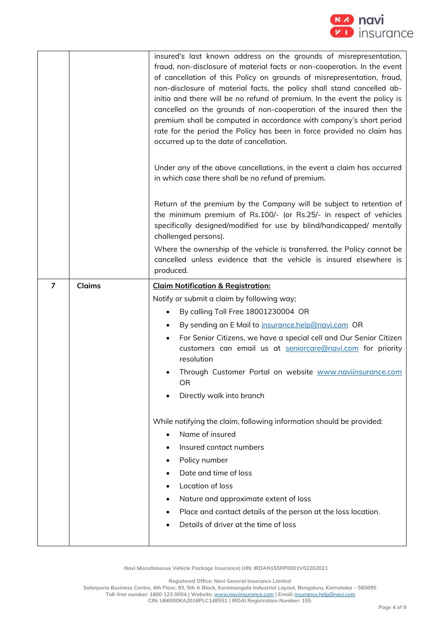

|   |               | insured's last known address on the grounds of misrepresentation,<br>fraud, non-disclosure of material facts or non-cooperation. In the event<br>of cancellation of this Policy on grounds of misrepresentation, fraud,<br>non-disclosure of material facts, the policy shall stand cancelled ab-<br>initio and there will be no refund of premium. In the event the policy is<br>cancelled on the grounds of non-cooperation of the insured then the<br>premium shall be computed in accordance with company's short period<br>rate for the period the Policy has been in force provided no claim has<br>occurred up to the date of cancellation.<br>Under any of the above cancellations, in the event a claim has occurred |
|---|---------------|-------------------------------------------------------------------------------------------------------------------------------------------------------------------------------------------------------------------------------------------------------------------------------------------------------------------------------------------------------------------------------------------------------------------------------------------------------------------------------------------------------------------------------------------------------------------------------------------------------------------------------------------------------------------------------------------------------------------------------|
|   |               | in which case there shall be no refund of premium.                                                                                                                                                                                                                                                                                                                                                                                                                                                                                                                                                                                                                                                                            |
|   |               | Return of the premium by the Company will be subject to retention of<br>the minimum premium of Rs.100/- (or Rs.25/- in respect of vehicles<br>specifically designed/modified for use by blind/handicapped/ mentally<br>challenged persons).                                                                                                                                                                                                                                                                                                                                                                                                                                                                                   |
|   |               | Where the ownership of the vehicle is transferred, the Policy cannot be<br>cancelled unless evidence that the vehicle is insured elsewhere is<br>produced.                                                                                                                                                                                                                                                                                                                                                                                                                                                                                                                                                                    |
| 7 | <b>Claims</b> | <b>Claim Notification &amp; Registration:</b>                                                                                                                                                                                                                                                                                                                                                                                                                                                                                                                                                                                                                                                                                 |
|   |               | Notify or submit a claim by following way;                                                                                                                                                                                                                                                                                                                                                                                                                                                                                                                                                                                                                                                                                    |
|   |               | By calling Toll Free 18001230004 OR                                                                                                                                                                                                                                                                                                                                                                                                                                                                                                                                                                                                                                                                                           |
|   |               | By sending an E Mail to insurance.help@navi.com OR                                                                                                                                                                                                                                                                                                                                                                                                                                                                                                                                                                                                                                                                            |
|   |               | For Senior Citizens, we have a special cell and Our Senior Citizen<br>customers can email us at seniorcare@navi.com for priority                                                                                                                                                                                                                                                                                                                                                                                                                                                                                                                                                                                              |
|   |               | resolution                                                                                                                                                                                                                                                                                                                                                                                                                                                                                                                                                                                                                                                                                                                    |
|   |               | Through Customer Portal on website www.naviinsurance.com<br>UΚ                                                                                                                                                                                                                                                                                                                                                                                                                                                                                                                                                                                                                                                                |
|   |               | Directly walk into branch                                                                                                                                                                                                                                                                                                                                                                                                                                                                                                                                                                                                                                                                                                     |
|   |               | While notifying the claim, following information should be provided:<br>Name of insured                                                                                                                                                                                                                                                                                                                                                                                                                                                                                                                                                                                                                                       |
|   |               | Insured contact numbers                                                                                                                                                                                                                                                                                                                                                                                                                                                                                                                                                                                                                                                                                                       |
|   |               | Policy number                                                                                                                                                                                                                                                                                                                                                                                                                                                                                                                                                                                                                                                                                                                 |
|   |               | Date and time of loss                                                                                                                                                                                                                                                                                                                                                                                                                                                                                                                                                                                                                                                                                                         |
|   |               | Location of loss                                                                                                                                                                                                                                                                                                                                                                                                                                                                                                                                                                                                                                                                                                              |
|   |               | Nature and approximate extent of loss<br>٠                                                                                                                                                                                                                                                                                                                                                                                                                                                                                                                                                                                                                                                                                    |
|   |               | Place and contact details of the person at the loss location.<br>Details of driver at the time of loss                                                                                                                                                                                                                                                                                                                                                                                                                                                                                                                                                                                                                        |

**Registered Office: Navi General Insurance Limited**

**Salarpuria Business Centre, 4th Floor, 93, 5th A Block, Koramangala Industrial Layout, Bengaluru, Karnataka – 560095**

**Toll-free number: 1800 123 0004 | Website:** [www.naviinsurance.com](http://www.naviinsurance.com/) **| Email:** [insurance.help@navi.com](mailto:insurance.help@navi.com)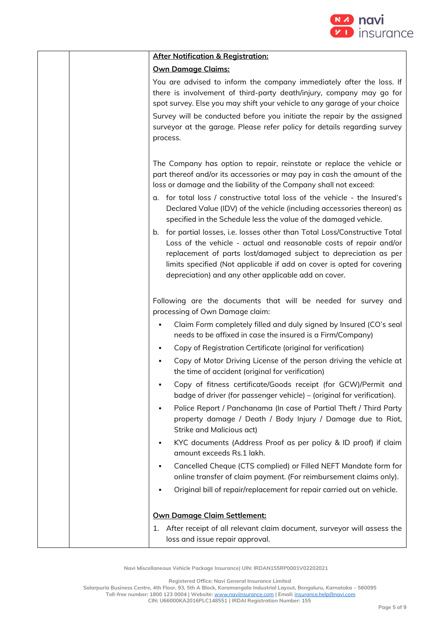

|  | <b>After Notification &amp; Registration:</b>                                                                                                                                                                                                                                                                                                           |
|--|---------------------------------------------------------------------------------------------------------------------------------------------------------------------------------------------------------------------------------------------------------------------------------------------------------------------------------------------------------|
|  | <b>Own Damage Claims:</b>                                                                                                                                                                                                                                                                                                                               |
|  | You are advised to inform the company immediately after the loss. If<br>there is involvement of third-party death/injury, company may go for<br>spot survey. Else you may shift your vehicle to any garage of your choice                                                                                                                               |
|  | Survey will be conducted before you initiate the repair by the assigned<br>surveyor at the garage. Please refer policy for details regarding survey<br>process.                                                                                                                                                                                         |
|  | The Company has option to repair, reinstate or replace the vehicle or<br>part thereof and/or its accessories or may pay in cash the amount of the<br>loss or damage and the liability of the Company shall not exceed:                                                                                                                                  |
|  | a. for total loss / constructive total loss of the vehicle - the Insured's<br>Declared Value (IDV) of the vehicle (including accessories thereon) as<br>specified in the Schedule less the value of the damaged vehicle.                                                                                                                                |
|  | b. for partial losses, i.e. losses other than Total Loss/Constructive Total<br>Loss of the vehicle - actual and reasonable costs of repair and/or<br>replacement of parts lost/damaged subject to depreciation as per<br>limits specified (Not applicable if add on cover is opted for covering<br>depreciation) and any other applicable add on cover. |
|  | Following are the documents that will be needed for survey and<br>processing of Own Damage claim:                                                                                                                                                                                                                                                       |
|  | Claim Form completely filled and duly signed by Insured (CO's seal<br>needs to be affixed in case the insured is a Firm/Company)                                                                                                                                                                                                                        |
|  | Copy of Registration Certificate (original for verification)                                                                                                                                                                                                                                                                                            |
|  | Copy of Motor Driving License of the person driving the vehicle at<br>the time of accident (original for verification)                                                                                                                                                                                                                                  |
|  | Copy of fitness certificate/Goods receipt (for GCW)/Permit and<br>badge of driver (for passenger vehicle) – (original for verification).                                                                                                                                                                                                                |
|  | Police Report / Panchanama (In case of Partial Theft / Third Party<br>$\bullet$<br>property damage / Death / Body Injury / Damage due to Riot,<br>Strike and Malicious act)                                                                                                                                                                             |
|  | KYC documents (Address Proof as per policy & ID proof) if claim<br>$\bullet$<br>amount exceeds Rs.1 lakh.                                                                                                                                                                                                                                               |
|  | Cancelled Cheque (CTS complied) or Filled NEFT Mandate form for<br>$\bullet$<br>online transfer of claim payment. (For reimbursement claims only).                                                                                                                                                                                                      |
|  | Original bill of repair/replacement for repair carried out on vehicle.                                                                                                                                                                                                                                                                                  |
|  | <b>Own Damage Claim Settlement:</b>                                                                                                                                                                                                                                                                                                                     |
|  | 1. After receipt of all relevant claim document, surveyor will assess the<br>loss and issue repair approval.                                                                                                                                                                                                                                            |

**Registered Office: Navi General Insurance Limited**

**Salarpuria Business Centre, 4th Floor, 93, 5th A Block, Koramangala Industrial Layout, Bengaluru, Karnataka – 560095**

**Toll-free number: 1800 123 0004 | Website:** [www.naviinsurance.com](http://www.naviinsurance.com/) **| Email:** [insurance.help@navi.com](mailto:insurance.help@navi.com)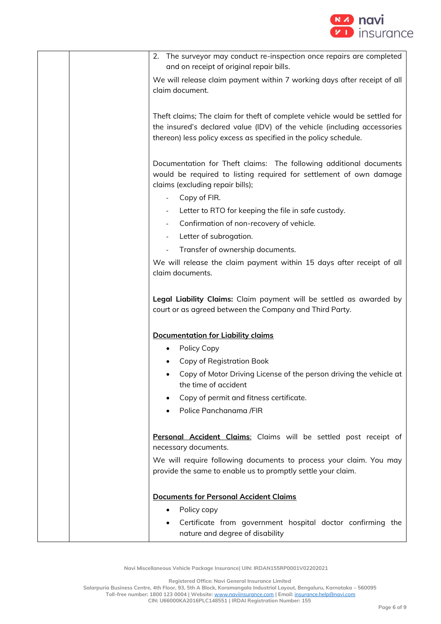

| 2. The surveyor may conduct re-inspection once repairs are completed<br>and on receipt of original repair bills.                                                                                                           |
|----------------------------------------------------------------------------------------------------------------------------------------------------------------------------------------------------------------------------|
| We will release claim payment within 7 working days after receipt of all<br>claim document.                                                                                                                                |
| Theft claims; The claim for theft of complete vehicle would be settled for<br>the insured's declared value (IDV) of the vehicle (including accessories<br>thereon) less policy excess as specified in the policy schedule. |
| Documentation for Theft claims: The following additional documents<br>would be required to listing required for settlement of own damage<br>claims (excluding repair bills);                                               |
| Copy of FIR.                                                                                                                                                                                                               |
| Letter to RTO for keeping the file in safe custody.                                                                                                                                                                        |
| Confirmation of non-recovery of vehicle.                                                                                                                                                                                   |
| Letter of subrogation.<br>$\overline{\phantom{a}}$                                                                                                                                                                         |
| Transfer of ownership documents.<br>We will release the claim payment within 15 days after receipt of all<br>claim documents.                                                                                              |
| Legal Liability Claims: Claim payment will be settled as awarded by<br>court or as agreed between the Company and Third Party.                                                                                             |
| <b>Documentation for Liability claims</b>                                                                                                                                                                                  |
| Policy Copy                                                                                                                                                                                                                |
| Copy of Registration Book                                                                                                                                                                                                  |
| Copy of Motor Driving License of the person driving the vehicle at<br>the time of accident                                                                                                                                 |
| Copy of permit and fitness certificate.                                                                                                                                                                                    |
| Police Panchanama /FIR                                                                                                                                                                                                     |
| Personal Accident Claims: Claims will be settled post receipt of<br>necessary documents.                                                                                                                                   |
| We will require following documents to process your claim. You may<br>provide the same to enable us to promptly settle your claim.                                                                                         |
| <b>Documents for Personal Accident Claims</b>                                                                                                                                                                              |
| Policy copy<br>٠                                                                                                                                                                                                           |
| Certificate from government hospital doctor confirming the<br>nature and degree of disability                                                                                                                              |

**Registered Office: Navi General Insurance Limited**

**Salarpuria Business Centre, 4th Floor, 93, 5th A Block, Koramangala Industrial Layout, Bengaluru, Karnataka – 560095**

**Toll-free number: 1800 123 0004 | Website:** [www.naviinsurance.com](http://www.naviinsurance.com/) **| Email:** [insurance.help@navi.com](mailto:insurance.help@navi.com)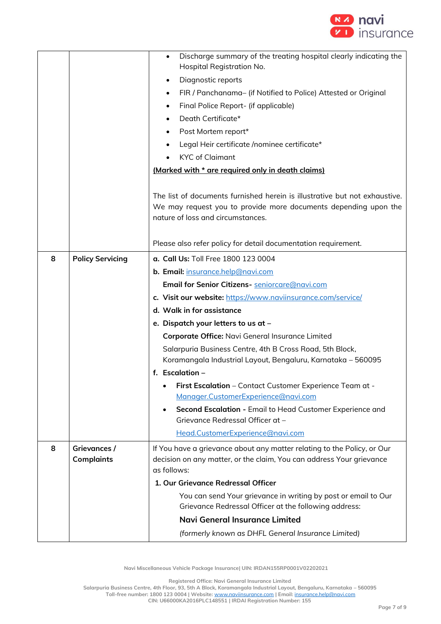

|   |                                   | Discharge summary of the treating hospital clearly indicating the<br>$\bullet$<br>Hospital Registration No.                                                                        |
|---|-----------------------------------|------------------------------------------------------------------------------------------------------------------------------------------------------------------------------------|
|   |                                   | Diagnostic reports                                                                                                                                                                 |
|   |                                   | FIR / Panchanama- (if Notified to Police) Attested or Original<br>$\bullet$                                                                                                        |
|   |                                   | Final Police Report- (if applicable)<br>$\bullet$                                                                                                                                  |
|   |                                   | Death Certificate*                                                                                                                                                                 |
|   |                                   | Post Mortem report*<br>$\bullet$                                                                                                                                                   |
|   |                                   | Legal Heir certificate /nominee certificate*                                                                                                                                       |
|   |                                   | <b>KYC</b> of Claimant                                                                                                                                                             |
|   |                                   | (Marked with * are required only in death claims)                                                                                                                                  |
|   |                                   |                                                                                                                                                                                    |
|   |                                   | The list of documents furnished herein is illustrative but not exhaustive.<br>We may request you to provide more documents depending upon the<br>nature of loss and circumstances. |
|   |                                   | Please also refer policy for detail documentation requirement.                                                                                                                     |
| 8 | <b>Policy Servicing</b>           | a. Call Us: Toll Free 1800 123 0004                                                                                                                                                |
|   |                                   | b. Email: insurance.help@navi.com                                                                                                                                                  |
|   |                                   | Email for Senior Citizens- seniorcare@navi.com                                                                                                                                     |
|   |                                   | c. Visit our website: https://www.naviinsurance.com/service/                                                                                                                       |
|   |                                   | d. Walk in for assistance                                                                                                                                                          |
|   |                                   | e. Dispatch your letters to us at -                                                                                                                                                |
|   |                                   | Corporate Office: Navi General Insurance Limited                                                                                                                                   |
|   |                                   | Salarpuria Business Centre, 4th B Cross Road, 5th Block,                                                                                                                           |
|   |                                   | Koramangala Industrial Layout, Bengaluru, Karnataka - 560095                                                                                                                       |
|   |                                   | f. Escalation -                                                                                                                                                                    |
|   |                                   | First Escalation - Contact Customer Experience Team at -<br>$\bullet$                                                                                                              |
|   |                                   | Manager.CustomerExperience@navi.com                                                                                                                                                |
|   |                                   | Second Escalation - Email to Head Customer Experience and<br>$\bullet$<br>Grievance Redressal Officer at -                                                                         |
|   |                                   | Head.CustomerExperience@navi.com                                                                                                                                                   |
| 8 | Grievances /<br><b>Complaints</b> | If You have a grievance about any matter relating to the Policy, or Our<br>decision on any matter, or the claim, You can address Your grievance<br>as follows:                     |
|   |                                   | 1. Our Grievance Redressal Officer                                                                                                                                                 |
|   |                                   | You can send Your grievance in writing by post or email to Our<br>Grievance Redressal Officer at the following address:                                                            |
|   |                                   | <b>Navi General Insurance Limited</b>                                                                                                                                              |
|   |                                   | (formerly known as DHFL General Insurance Limited)                                                                                                                                 |
|   |                                   |                                                                                                                                                                                    |

**Registered Office: Navi General Insurance Limited**

**Salarpuria Business Centre, 4th Floor, 93, 5th A Block, Koramangala Industrial Layout, Bengaluru, Karnataka – 560095**

**Toll-free number: 1800 123 0004 | Website:** [www.naviinsurance.com](http://www.naviinsurance.com/) **| Email:** [insurance.help@navi.com](mailto:insurance.help@navi.com)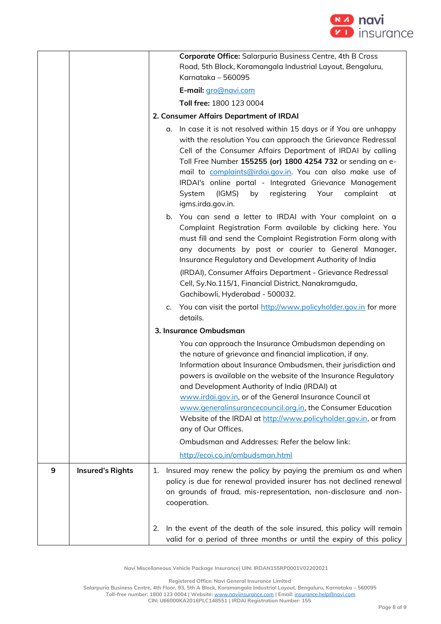

|   |                         | Corporate Office: Salarpuria Business Centre, 4th B Cross<br>Road, 5th Block, Koramangala Industrial Layout, Bengaluru,                                                                                                                                                                                                                                                                                                                                                                                                     |
|---|-------------------------|-----------------------------------------------------------------------------------------------------------------------------------------------------------------------------------------------------------------------------------------------------------------------------------------------------------------------------------------------------------------------------------------------------------------------------------------------------------------------------------------------------------------------------|
|   |                         | Karnataka – 560095                                                                                                                                                                                                                                                                                                                                                                                                                                                                                                          |
|   |                         | E-mail: gro@navi.com                                                                                                                                                                                                                                                                                                                                                                                                                                                                                                        |
|   |                         | Toll free: 1800 123 0004                                                                                                                                                                                                                                                                                                                                                                                                                                                                                                    |
|   |                         | 2. Consumer Affairs Department of IRDAI                                                                                                                                                                                                                                                                                                                                                                                                                                                                                     |
|   |                         | a. In case it is not resolved within 15 days or if You are unhappy<br>with the resolution You can approach the Grievance Redressal<br>Cell of the Consumer Affairs Department of IRDAI by calling<br>Toll Free Number 155255 (or) 1800 4254 732 or sending an e-<br>mail to complaints@irdai.gov.in. You can also make use of<br>IRDAI's online portal - Integrated Grievance Management<br>System<br>(IGMS)<br>registering<br>Your<br>complaint<br>by<br>at<br>igms.irda.gov.in.                                           |
|   |                         | b. You can send a letter to IRDAI with Your complaint on a<br>Complaint Registration Form available by clicking here. You<br>must fill and send the Complaint Registration Form along with<br>any documents by post or courier to General Manager,<br>Insurance Regulatory and Development Authority of India                                                                                                                                                                                                               |
|   |                         | (IRDAI), Consumer Affairs Department - Grievance Redressal<br>Cell, Sy.No.115/1, Financial District, Nanakramguda,<br>Gachibowli, Hyderabad - 500032.                                                                                                                                                                                                                                                                                                                                                                       |
|   |                         | c. You can visit the portal http://www.policyholder.gov.in for more<br>details.                                                                                                                                                                                                                                                                                                                                                                                                                                             |
|   |                         | 3. Insurance Ombudsman                                                                                                                                                                                                                                                                                                                                                                                                                                                                                                      |
|   |                         | You can approach the Insurance Ombudsman depending on<br>the nature of grievance and financial implication, if any.<br>Information about Insurance Ombudsmen, their jurisdiction and<br>powers is available on the website of the Insurance Regulatory<br>and Development Authority of India (IRDAI) at<br>www.irdai.gov.in, or of the General Insurance Council at<br>www.generalinsurancecouncil.org.in, the Consumer Education<br>Website of the IRDAI at http://www.policyholder.gov.in, or from<br>any of Our Offices. |
|   |                         | Ombudsman and Addresses: Refer the below link:                                                                                                                                                                                                                                                                                                                                                                                                                                                                              |
|   |                         | http://ecoi.co.in/ombudsman.html                                                                                                                                                                                                                                                                                                                                                                                                                                                                                            |
|   |                         |                                                                                                                                                                                                                                                                                                                                                                                                                                                                                                                             |
| 9 | <b>Insured's Rights</b> | Insured may renew the policy by paying the premium as and when<br>1.<br>policy is due for renewal provided insurer has not declined renewal<br>on grounds of fraud, mis-representation, non-disclosure and non-<br>cooperation.                                                                                                                                                                                                                                                                                             |
|   |                         | In the event of the death of the sole insured, this policy will remain<br>2.<br>valid for a period of three months or until the expiry of this policy                                                                                                                                                                                                                                                                                                                                                                       |

**Registered Office: Navi General Insurance Limited**

**Salarpuria Business Centre, 4th Floor, 93, 5th A Block, Koramangala Industrial Layout, Bengaluru, Karnataka – 560095**

**Toll-free number: 1800 123 0004 | Website:** [www.naviinsurance.com](http://www.naviinsurance.com/) **| Email:** [insurance.help@navi.com](mailto:insurance.help@navi.com)